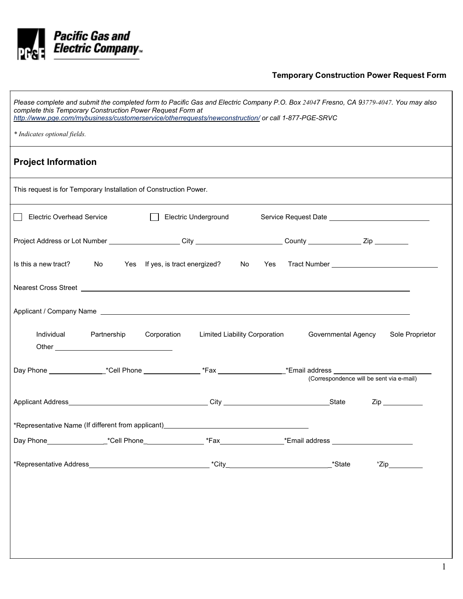

## **Temporary Construction Power Request Form**

| Please complete and submit the completed form to Pacific Gas and Electric Company P.O. Box 24047 Fresno, CA 93779-4047. You may also<br>complete this Temporary Construction Power Request Form at<br>http://www.pqe.com/mybusiness/customerservice/otherrequests/newconstruction/ or call 1-877-PGE-SRVC |                                                                                  |             |                               |  |                                          |                 |
|-----------------------------------------------------------------------------------------------------------------------------------------------------------------------------------------------------------------------------------------------------------------------------------------------------------|----------------------------------------------------------------------------------|-------------|-------------------------------|--|------------------------------------------|-----------------|
| * Indicates optional fields.                                                                                                                                                                                                                                                                              |                                                                                  |             |                               |  |                                          |                 |
| <b>Project Information</b>                                                                                                                                                                                                                                                                                |                                                                                  |             |                               |  |                                          |                 |
| This request is for Temporary Installation of Construction Power.                                                                                                                                                                                                                                         |                                                                                  |             |                               |  |                                          |                 |
| <b>Electric Overhead Service</b>                                                                                                                                                                                                                                                                          |                                                                                  |             | Electric Underground          |  |                                          |                 |
| Project Address or Lot Number ____________________City _______________________County _______________Zip _________                                                                                                                                                                                         |                                                                                  |             |                               |  |                                          |                 |
| Is this a new tract?                                                                                                                                                                                                                                                                                      | No Yes If yes, is tract energized? No Yes Tract Number _________________________ |             |                               |  |                                          |                 |
| Nearest Cross Street <b>contract and the contract of the contract of the contract of the contract of the contract of the contract of the contract of the contract of the contract of the contract of the contract of the contrac</b>                                                                      |                                                                                  |             |                               |  |                                          |                 |
|                                                                                                                                                                                                                                                                                                           |                                                                                  |             |                               |  |                                          |                 |
| Individual Partnership                                                                                                                                                                                                                                                                                    |                                                                                  | Corporation | Limited Liability Corporation |  | Governmental Agency                      | Sole Proprietor |
| Day Phone ____________________*Cell Phone _____________________*Fax ______________________*Email address ______________________________                                                                                                                                                                   |                                                                                  |             |                               |  | (Correspondence will be sent via e-mail) |                 |
|                                                                                                                                                                                                                                                                                                           |                                                                                  |             |                               |  |                                          | Zip             |
| *Representative Name (If different from applicant)_______________________________                                                                                                                                                                                                                         |                                                                                  |             |                               |  |                                          |                 |
|                                                                                                                                                                                                                                                                                                           |                                                                                  |             |                               |  |                                          |                 |
|                                                                                                                                                                                                                                                                                                           |                                                                                  |             |                               |  |                                          |                 |
|                                                                                                                                                                                                                                                                                                           |                                                                                  |             |                               |  |                                          |                 |
|                                                                                                                                                                                                                                                                                                           |                                                                                  |             |                               |  |                                          |                 |
|                                                                                                                                                                                                                                                                                                           |                                                                                  |             |                               |  |                                          |                 |
|                                                                                                                                                                                                                                                                                                           |                                                                                  |             |                               |  |                                          |                 |